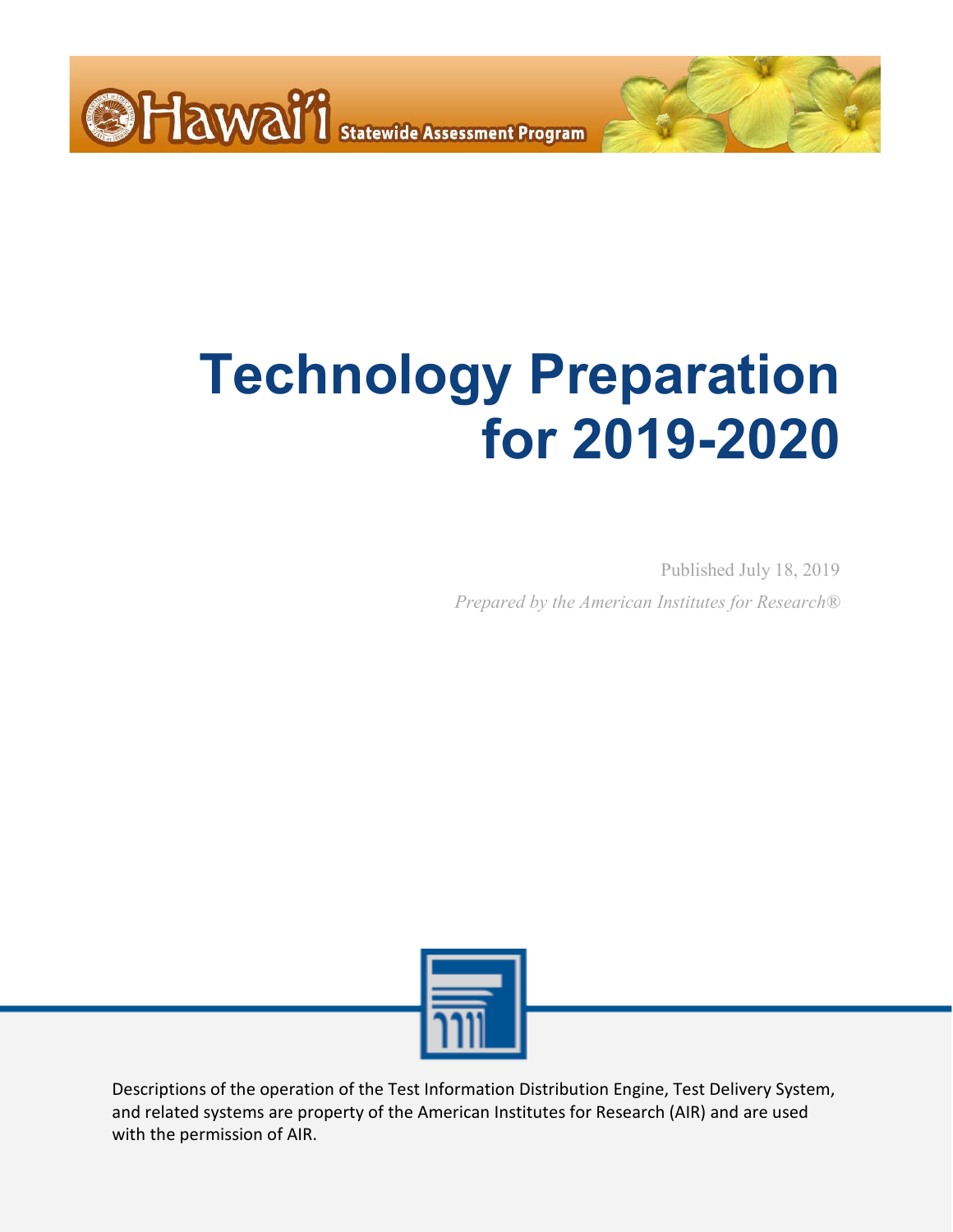

## **Technology Preparation for 2019-2020**

Published July 18, 2019 *Prepared by the American Institutes for Research®*



Descriptions of the operation of the Test Information Distribution Engine, Test Delivery System, and related systems are property of the American Institutes for Research (AIR) and are used with the permission of AIR.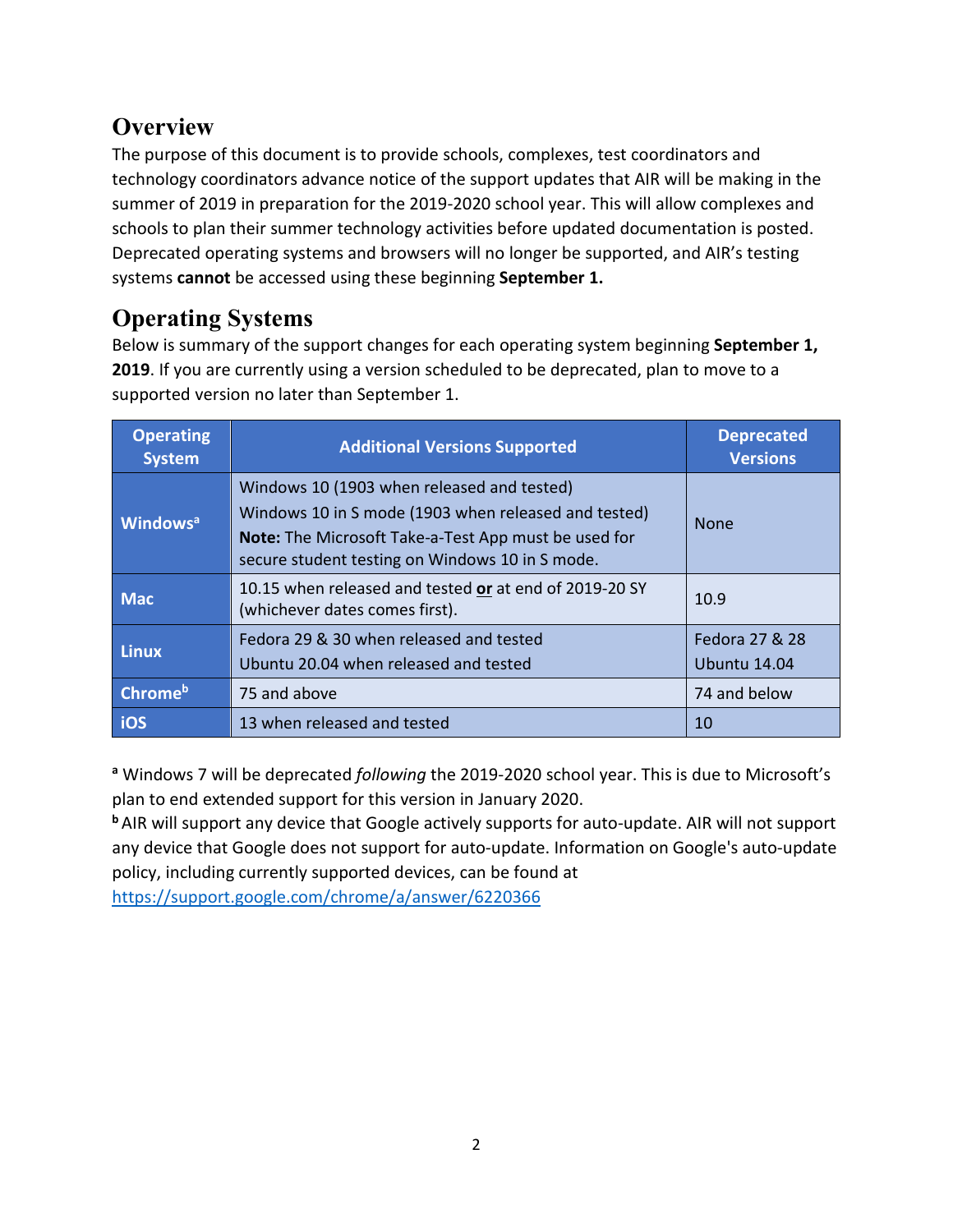## **Overview**

The purpose of this document is to provide schools, complexes, test coordinators and technology coordinators advance notice of the support updates that AIR will be making in the summer of 2019 in preparation for the 2019-2020 school year. This will allow complexes and schools to plan their summer technology activities before updated documentation is posted. Deprecated operating systems and browsers will no longer be supported, and AIR's testing systems **cannot** be accessed using these beginning **September 1.**

## **Operating Systems**

Below is summary of the support changes for each operating system beginning **September 1, 2019**. If you are currently using a version scheduled to be deprecated, plan to move to a supported version no later than September 1.

| <b>Operating</b><br><b>System</b> | <b>Additional Versions Supported</b>                                                                                                                                                                          | <b>Deprecated</b><br><b>Versions</b> |
|-----------------------------------|---------------------------------------------------------------------------------------------------------------------------------------------------------------------------------------------------------------|--------------------------------------|
| <b>Windows</b> <sup>a</sup>       | Windows 10 (1903 when released and tested)<br>Windows 10 in S mode (1903 when released and tested)<br>Note: The Microsoft Take-a-Test App must be used for<br>secure student testing on Windows 10 in S mode. | <b>None</b>                          |
| <b>Mac</b>                        | 10.15 when released and tested or at end of 2019-20 SY<br>(whichever dates comes first).                                                                                                                      | 10.9                                 |
| <b>Linux</b>                      | Fedora 29 & 30 when released and tested<br>Ubuntu 20.04 when released and tested                                                                                                                              | Fedora 27 & 28<br>Ubuntu 14.04       |
| <b>Chrome</b> <sup>b</sup>        | 75 and above                                                                                                                                                                                                  | 74 and below                         |
| ios                               | 13 when released and tested                                                                                                                                                                                   | 10                                   |

**<sup>a</sup>** Windows 7 will be deprecated *following* the 2019-2020 school year. This is due to Microsoft's plan to end extended support for this version in January 2020.

**<sup>b</sup>** AIR will support any device that Google actively supports for auto-update. AIR will not support any device that Google does not support for auto-update. Information on Google's auto-update policy, including currently supported devices, can be found at

<https://support.google.com/chrome/a/answer/6220366>